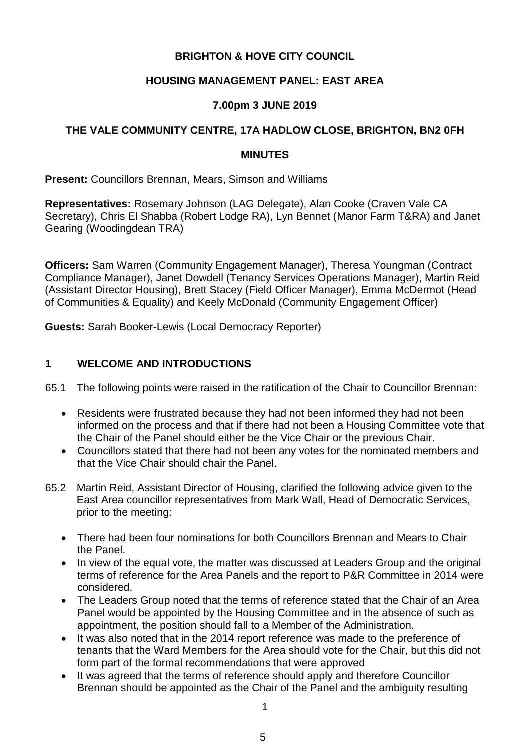# **BRIGHTON & HOVE CITY COUNCIL**

## **HOUSING MANAGEMENT PANEL: EAST AREA**

## **7.00pm 3 JUNE 2019**

# **THE VALE COMMUNITY CENTRE, 17A HADLOW CLOSE, BRIGHTON, BN2 0FH**

#### **MINUTES**

**Present:** Councillors Brennan, Mears, Simson and Williams

**Representatives:** Rosemary Johnson (LAG Delegate), Alan Cooke (Craven Vale CA Secretary), Chris El Shabba (Robert Lodge RA), Lyn Bennet (Manor Farm T&RA) and Janet Gearing (Woodingdean TRA)

**Officers:** Sam Warren (Community Engagement Manager), Theresa Youngman (Contract Compliance Manager), Janet Dowdell (Tenancy Services Operations Manager), Martin Reid (Assistant Director Housing), Brett Stacey (Field Officer Manager), Emma McDermot (Head of Communities & Equality) and Keely McDonald (Community Engagement Officer)

**Guests:** Sarah Booker-Lewis (Local Democracy Reporter)

## **1 WELCOME AND INTRODUCTIONS**

65.1 The following points were raised in the ratification of the Chair to Councillor Brennan:

- Residents were frustrated because they had not been informed they had not been informed on the process and that if there had not been a Housing Committee vote that the Chair of the Panel should either be the Vice Chair or the previous Chair.
- Councillors stated that there had not been any votes for the nominated members and that the Vice Chair should chair the Panel.
- 65.2 Martin Reid, Assistant Director of Housing, clarified the following advice given to the East Area councillor representatives from Mark Wall, Head of Democratic Services, prior to the meeting:
	- There had been four nominations for both Councillors Brennan and Mears to Chair the Panel.
	- In view of the equal vote, the matter was discussed at Leaders Group and the original terms of reference for the Area Panels and the report to P&R Committee in 2014 were considered.
	- The Leaders Group noted that the terms of reference stated that the Chair of an Area Panel would be appointed by the Housing Committee and in the absence of such as appointment, the position should fall to a Member of the Administration.
	- It was also noted that in the 2014 report reference was made to the preference of tenants that the Ward Members for the Area should vote for the Chair, but this did not form part of the formal recommendations that were approved
	- It was agreed that the terms of reference should apply and therefore Councillor Brennan should be appointed as the Chair of the Panel and the ambiguity resulting

1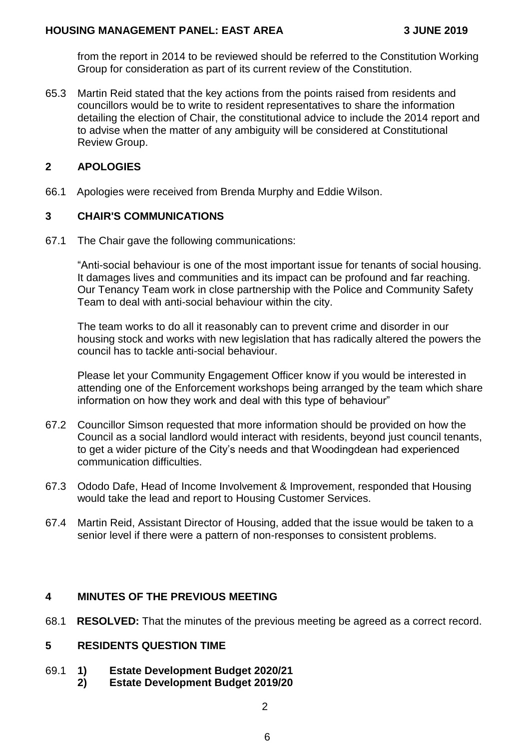from the report in 2014 to be reviewed should be referred to the Constitution Working Group for consideration as part of its current review of the Constitution.

65.3 Martin Reid stated that the key actions from the points raised from residents and councillors would be to write to resident representatives to share the information detailing the election of Chair, the constitutional advice to include the 2014 report and to advise when the matter of any ambiguity will be considered at Constitutional Review Group.

## **2 APOLOGIES**

66.1 Apologies were received from Brenda Murphy and Eddie Wilson.

## **3 CHAIR'S COMMUNICATIONS**

67.1 The Chair gave the following communications:

"Anti-social behaviour is one of the most important issue for tenants of social housing. It damages lives and communities and its impact can be profound and far reaching. Our Tenancy Team work in close partnership with the Police and Community Safety Team to deal with anti-social behaviour within the city.

The team works to do all it reasonably can to prevent crime and disorder in our housing stock and works with new legislation that has radically altered the powers the council has to tackle anti-social behaviour.

Please let your Community Engagement Officer know if you would be interested in attending one of the Enforcement workshops being arranged by the team which share information on how they work and deal with this type of behaviour"

- 67.2 Councillor Simson requested that more information should be provided on how the Council as a social landlord would interact with residents, beyond just council tenants, to get a wider picture of the City's needs and that Woodingdean had experienced communication difficulties.
- 67.3 Ododo Dafe, Head of Income Involvement & Improvement, responded that Housing would take the lead and report to Housing Customer Services.
- 67.4 Martin Reid, Assistant Director of Housing, added that the issue would be taken to a senior level if there were a pattern of non-responses to consistent problems.

# **4 MINUTES OF THE PREVIOUS MEETING**

68.1 **RESOLVED:** That the minutes of the previous meeting be agreed as a correct record.

### **5 RESIDENTS QUESTION TIME**

- 69.1 **1) Estate Development Budget 2020/21**
	- **2) Estate Development Budget 2019/20**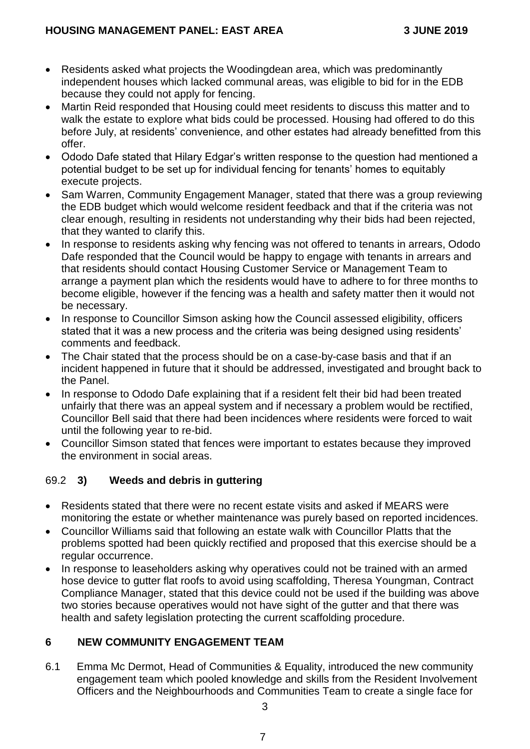- Residents asked what projects the Woodingdean area, which was predominantly independent houses which lacked communal areas, was eligible to bid for in the EDB because they could not apply for fencing.
- Martin Reid responded that Housing could meet residents to discuss this matter and to walk the estate to explore what bids could be processed. Housing had offered to do this before July, at residents' convenience, and other estates had already benefitted from this offer.
- Ododo Dafe stated that Hilary Edgar's written response to the question had mentioned a potential budget to be set up for individual fencing for tenants' homes to equitably execute projects.
- Sam Warren, Community Engagement Manager, stated that there was a group reviewing the EDB budget which would welcome resident feedback and that if the criteria was not clear enough, resulting in residents not understanding why their bids had been rejected, that they wanted to clarify this.
- In response to residents asking why fencing was not offered to tenants in arrears, Ododo Dafe responded that the Council would be happy to engage with tenants in arrears and that residents should contact Housing Customer Service or Management Team to arrange a payment plan which the residents would have to adhere to for three months to become eligible, however if the fencing was a health and safety matter then it would not be necessary.
- In response to Councillor Simson asking how the Council assessed eligibility, officers stated that it was a new process and the criteria was being designed using residents' comments and feedback.
- The Chair stated that the process should be on a case-by-case basis and that if an incident happened in future that it should be addressed, investigated and brought back to the Panel.
- In response to Ododo Dafe explaining that if a resident felt their bid had been treated unfairly that there was an appeal system and if necessary a problem would be rectified, Councillor Bell said that there had been incidences where residents were forced to wait until the following year to re-bid.
- Councillor Simson stated that fences were important to estates because they improved the environment in social areas.

# 69.2 **3) Weeds and debris in guttering**

- Residents stated that there were no recent estate visits and asked if MEARS were monitoring the estate or whether maintenance was purely based on reported incidences.
- Councillor Williams said that following an estate walk with Councillor Platts that the problems spotted had been quickly rectified and proposed that this exercise should be a regular occurrence.
- In response to leaseholders asking why operatives could not be trained with an armed hose device to gutter flat roofs to avoid using scaffolding, Theresa Youngman, Contract Compliance Manager, stated that this device could not be used if the building was above two stories because operatives would not have sight of the gutter and that there was health and safety legislation protecting the current scaffolding procedure.

# **6 NEW COMMUNITY ENGAGEMENT TEAM**

6.1 Emma Mc Dermot, Head of Communities & Equality, introduced the new community engagement team which pooled knowledge and skills from the Resident Involvement Officers and the Neighbourhoods and Communities Team to create a single face for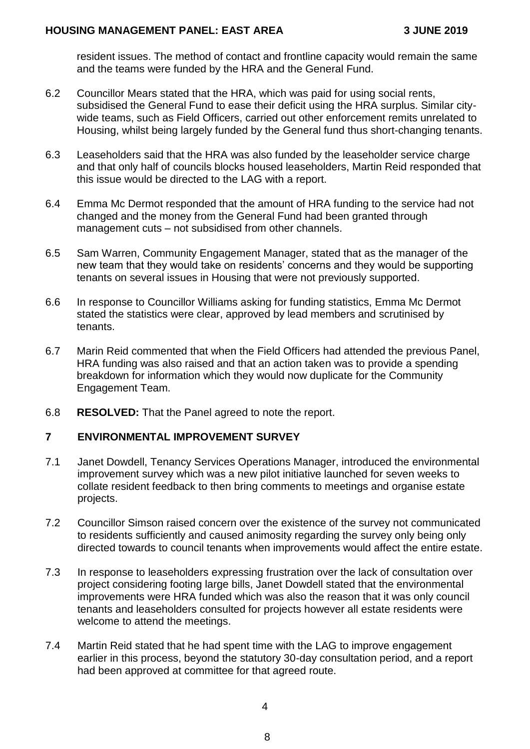resident issues. The method of contact and frontline capacity would remain the same and the teams were funded by the HRA and the General Fund.

- 6.2 Councillor Mears stated that the HRA, which was paid for using social rents, subsidised the General Fund to ease their deficit using the HRA surplus. Similar citywide teams, such as Field Officers, carried out other enforcement remits unrelated to Housing, whilst being largely funded by the General fund thus short-changing tenants.
- 6.3 Leaseholders said that the HRA was also funded by the leaseholder service charge and that only half of councils blocks housed leaseholders, Martin Reid responded that this issue would be directed to the LAG with a report.
- 6.4 Emma Mc Dermot responded that the amount of HRA funding to the service had not changed and the money from the General Fund had been granted through management cuts – not subsidised from other channels.
- 6.5 Sam Warren, Community Engagement Manager, stated that as the manager of the new team that they would take on residents' concerns and they would be supporting tenants on several issues in Housing that were not previously supported.
- 6.6 In response to Councillor Williams asking for funding statistics, Emma Mc Dermot stated the statistics were clear, approved by lead members and scrutinised by tenants.
- 6.7 Marin Reid commented that when the Field Officers had attended the previous Panel, HRA funding was also raised and that an action taken was to provide a spending breakdown for information which they would now duplicate for the Community Engagement Team.
- 6.8 **RESOLVED:** That the Panel agreed to note the report.

### **7 ENVIRONMENTAL IMPROVEMENT SURVEY**

- 7.1 Janet Dowdell, Tenancy Services Operations Manager, introduced the environmental improvement survey which was a new pilot initiative launched for seven weeks to collate resident feedback to then bring comments to meetings and organise estate projects.
- 7.2 Councillor Simson raised concern over the existence of the survey not communicated to residents sufficiently and caused animosity regarding the survey only being only directed towards to council tenants when improvements would affect the entire estate.
- 7.3 In response to leaseholders expressing frustration over the lack of consultation over project considering footing large bills, Janet Dowdell stated that the environmental improvements were HRA funded which was also the reason that it was only council tenants and leaseholders consulted for projects however all estate residents were welcome to attend the meetings.
- 7.4 Martin Reid stated that he had spent time with the LAG to improve engagement earlier in this process, beyond the statutory 30-day consultation period, and a report had been approved at committee for that agreed route.

4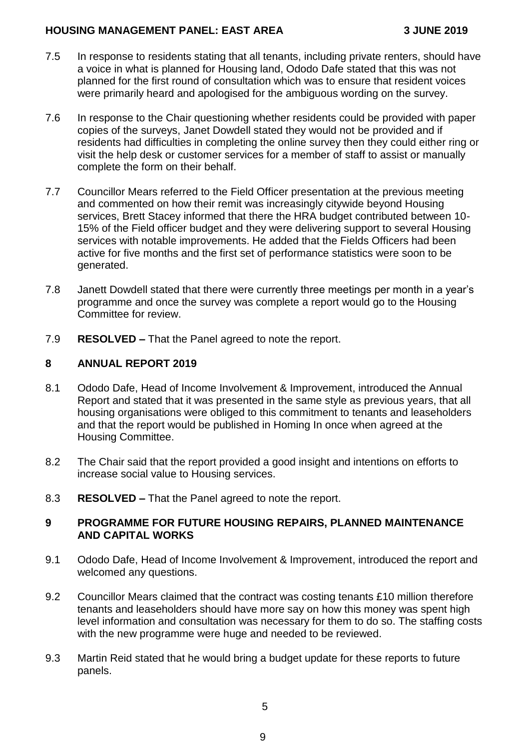### **HOUSING MANAGEMENT PANEL: EAST AREA 3 JUNE 2019**

- 7.5 In response to residents stating that all tenants, including private renters, should have a voice in what is planned for Housing land, Ododo Dafe stated that this was not planned for the first round of consultation which was to ensure that resident voices were primarily heard and apologised for the ambiguous wording on the survey.
- 7.6 In response to the Chair questioning whether residents could be provided with paper copies of the surveys, Janet Dowdell stated they would not be provided and if residents had difficulties in completing the online survey then they could either ring or visit the help desk or customer services for a member of staff to assist or manually complete the form on their behalf.
- 7.7 Councillor Mears referred to the Field Officer presentation at the previous meeting and commented on how their remit was increasingly citywide beyond Housing services, Brett Stacey informed that there the HRA budget contributed between 10- 15% of the Field officer budget and they were delivering support to several Housing services with notable improvements. He added that the Fields Officers had been active for five months and the first set of performance statistics were soon to be generated.
- 7.8 Janett Dowdell stated that there were currently three meetings per month in a year's programme and once the survey was complete a report would go to the Housing Committee for review.
- 7.9 **RESOLVED –** That the Panel agreed to note the report.

## **8 ANNUAL REPORT 2019**

- 8.1 Ododo Dafe, Head of Income Involvement & Improvement, introduced the Annual Report and stated that it was presented in the same style as previous years, that all housing organisations were obliged to this commitment to tenants and leaseholders and that the report would be published in Homing In once when agreed at the Housing Committee.
- 8.2 The Chair said that the report provided a good insight and intentions on efforts to increase social value to Housing services.
- 8.3 **RESOLVED –** That the Panel agreed to note the report.

## **9 PROGRAMME FOR FUTURE HOUSING REPAIRS, PLANNED MAINTENANCE AND CAPITAL WORKS**

- 9.1 Ododo Dafe, Head of Income Involvement & Improvement, introduced the report and welcomed any questions.
- 9.2 Councillor Mears claimed that the contract was costing tenants £10 million therefore tenants and leaseholders should have more say on how this money was spent high level information and consultation was necessary for them to do so. The staffing costs with the new programme were huge and needed to be reviewed.
- 9.3 Martin Reid stated that he would bring a budget update for these reports to future panels.